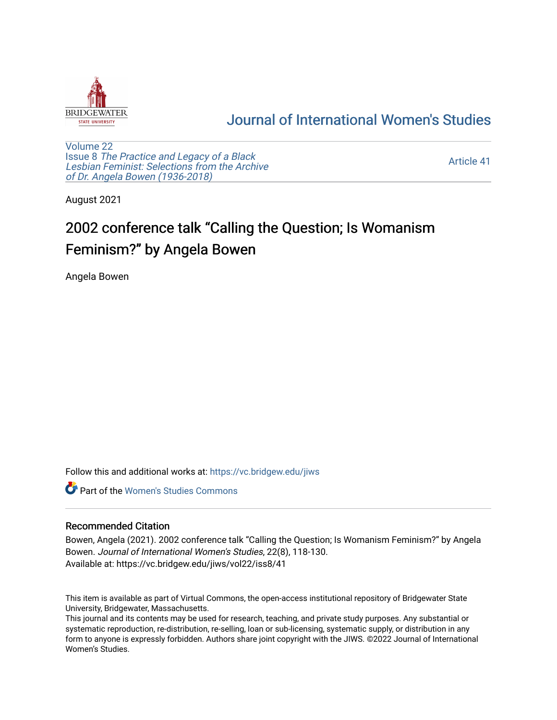

## [Journal of International Women's Studies](https://vc.bridgew.edu/jiws)

[Volume 22](https://vc.bridgew.edu/jiws/vol22) Issue 8 [The Practice and Legacy of a Black](https://vc.bridgew.edu/jiws/vol22/iss8)  [Lesbian Feminist: Selections from the Archive](https://vc.bridgew.edu/jiws/vol22/iss8)  [of Dr. Angela Bowen \(1936-2018\)](https://vc.bridgew.edu/jiws/vol22/iss8)

[Article 41](https://vc.bridgew.edu/jiws/vol22/iss8/41) 

August 2021

## 2002 conference talk "Calling the Question; Is Womanism Feminism?" by Angela Bowen

Angela Bowen

Follow this and additional works at: [https://vc.bridgew.edu/jiws](https://vc.bridgew.edu/jiws?utm_source=vc.bridgew.edu%2Fjiws%2Fvol22%2Fiss8%2F41&utm_medium=PDF&utm_campaign=PDFCoverPages)

**C** Part of the Women's Studies Commons

## Recommended Citation

Bowen, Angela (2021). 2002 conference talk "Calling the Question; Is Womanism Feminism?" by Angela Bowen. Journal of International Women's Studies, 22(8), 118-130. Available at: https://vc.bridgew.edu/jiws/vol22/iss8/41

This item is available as part of Virtual Commons, the open-access institutional repository of Bridgewater State University, Bridgewater, Massachusetts.

This journal and its contents may be used for research, teaching, and private study purposes. Any substantial or systematic reproduction, re-distribution, re-selling, loan or sub-licensing, systematic supply, or distribution in any form to anyone is expressly forbidden. Authors share joint copyright with the JIWS. ©2022 Journal of International Women's Studies.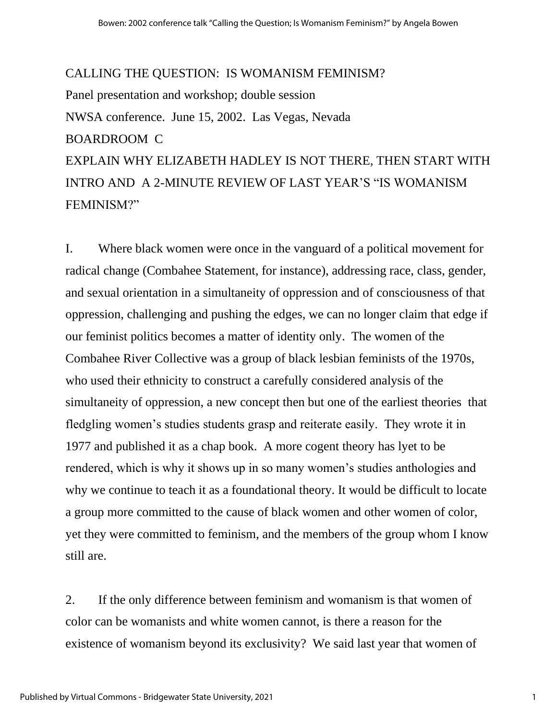## CALLING THE QUESTION: IS WOMANISM FEMINISM? Panel presentation and workshop; double session NWSA conference. June 15, 2002. Las Vegas, Nevada BOARDROOM C EXPLAIN WHY ELIZABETH HADLEY IS NOT THERE, THEN START WITH INTRO AND A 2-MINUTE REVIEW OF LAST YEAR'S "IS WOMANISM FEMINISM?"

I. Where black women were once in the vanguard of a political movement for radical change (Combahee Statement, for instance), addressing race, class, gender, and sexual orientation in a simultaneity of oppression and of consciousness of that oppression, challenging and pushing the edges, we can no longer claim that edge if our feminist politics becomes a matter of identity only. The women of the Combahee River Collective was a group of black lesbian feminists of the 1970s, who used their ethnicity to construct a carefully considered analysis of the simultaneity of oppression, a new concept then but one of the earliest theories that fledgling women's studies students grasp and reiterate easily. They wrote it in 1977 and published it as a chap book. A more cogent theory has lyet to be rendered, which is why it shows up in so many women's studies anthologies and why we continue to teach it as a foundational theory. It would be difficult to locate a group more committed to the cause of black women and other women of color, yet they were committed to feminism, and the members of the group whom I know still are.

2. If the only difference between feminism and womanism is that women of color can be womanists and white women cannot, is there a reason for the existence of womanism beyond its exclusivity? We said last year that women of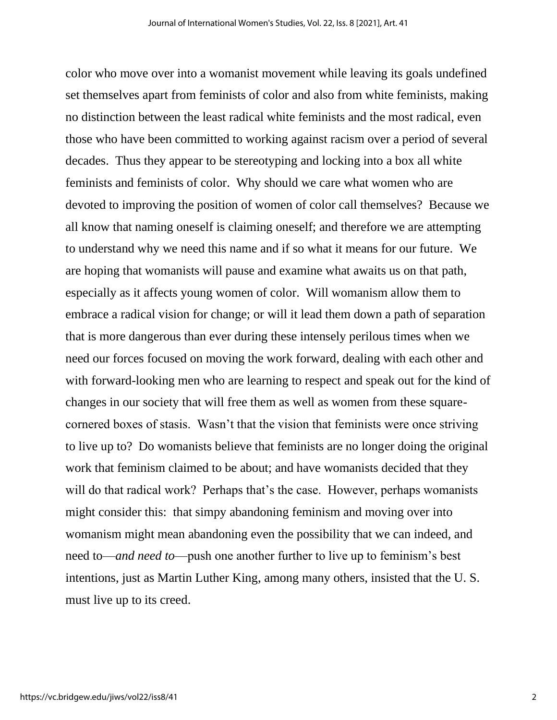color who move over into a womanist movement while leaving its goals undefined set themselves apart from feminists of color and also from white feminists, making no distinction between the least radical white feminists and the most radical, even those who have been committed to working against racism over a period of several decades. Thus they appear to be stereotyping and locking into a box all white feminists and feminists of color. Why should we care what women who are devoted to improving the position of women of color call themselves? Because we all know that naming oneself is claiming oneself; and therefore we are attempting to understand why we need this name and if so what it means for our future. We are hoping that womanists will pause and examine what awaits us on that path, especially as it affects young women of color. Will womanism allow them to embrace a radical vision for change; or will it lead them down a path of separation that is more dangerous than ever during these intensely perilous times when we need our forces focused on moving the work forward, dealing with each other and with forward-looking men who are learning to respect and speak out for the kind of changes in our society that will free them as well as women from these squarecornered boxes of stasis. Wasn't that the vision that feminists were once striving to live up to? Do womanists believe that feminists are no longer doing the original work that feminism claimed to be about; and have womanists decided that they will do that radical work? Perhaps that's the case. However, perhaps womanists might consider this: that simpy abandoning feminism and moving over into womanism might mean abandoning even the possibility that we can indeed, and need to—*and need to*—push one another further to live up to feminism's best intentions, just as Martin Luther King, among many others, insisted that the U. S. must live up to its creed.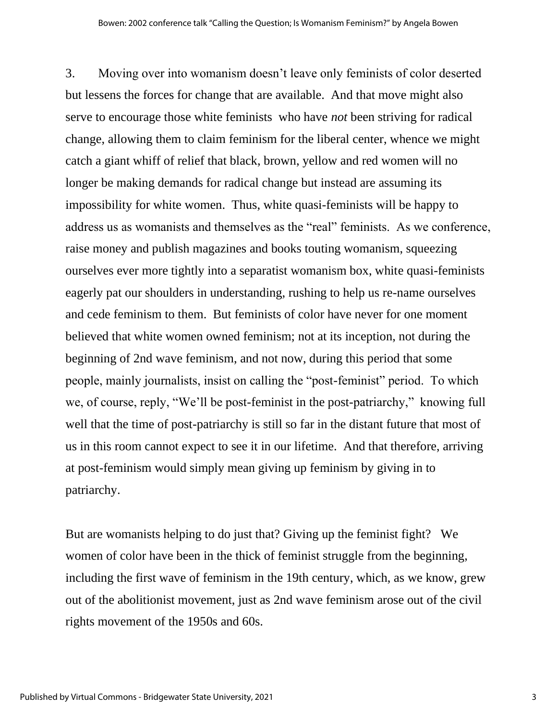3. Moving over into womanism doesn't leave only feminists of color deserted but lessens the forces for change that are available. And that move might also serve to encourage those white feminists who have *not* been striving for radical change, allowing them to claim feminism for the liberal center, whence we might catch a giant whiff of relief that black, brown, yellow and red women will no longer be making demands for radical change but instead are assuming its impossibility for white women. Thus, white quasi-feminists will be happy to address us as womanists and themselves as the "real" feminists. As we conference, raise money and publish magazines and books touting womanism, squeezing ourselves ever more tightly into a separatist womanism box, white quasi-feminists eagerly pat our shoulders in understanding, rushing to help us re-name ourselves and cede feminism to them. But feminists of color have never for one moment believed that white women owned feminism; not at its inception, not during the beginning of 2nd wave feminism, and not now, during this period that some people, mainly journalists, insist on calling the "post-feminist" period. To which we, of course, reply, "We'll be post-feminist in the post-patriarchy," knowing full well that the time of post-patriarchy is still so far in the distant future that most of us in this room cannot expect to see it in our lifetime. And that therefore, arriving at post-feminism would simply mean giving up feminism by giving in to patriarchy.

But are womanists helping to do just that? Giving up the feminist fight? We women of color have been in the thick of feminist struggle from the beginning, including the first wave of feminism in the 19th century, which, as we know, grew out of the abolitionist movement, just as 2nd wave feminism arose out of the civil rights movement of the 1950s and 60s.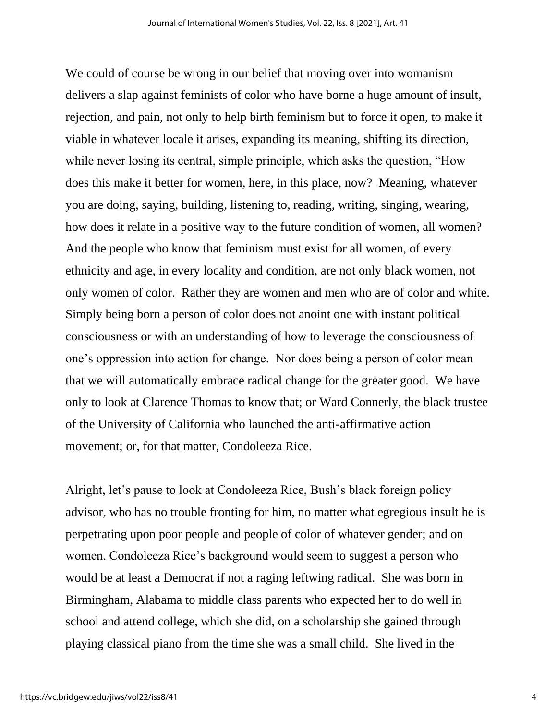We could of course be wrong in our belief that moving over into womanism delivers a slap against feminists of color who have borne a huge amount of insult, rejection, and pain, not only to help birth feminism but to force it open, to make it viable in whatever locale it arises, expanding its meaning, shifting its direction, while never losing its central, simple principle, which asks the question, "How does this make it better for women, here, in this place, now? Meaning, whatever you are doing, saying, building, listening to, reading, writing, singing, wearing, how does it relate in a positive way to the future condition of women, all women? And the people who know that feminism must exist for all women, of every ethnicity and age, in every locality and condition, are not only black women, not only women of color. Rather they are women and men who are of color and white. Simply being born a person of color does not anoint one with instant political consciousness or with an understanding of how to leverage the consciousness of one's oppression into action for change. Nor does being a person of color mean that we will automatically embrace radical change for the greater good. We have only to look at Clarence Thomas to know that; or Ward Connerly, the black trustee of the University of California who launched the anti-affirmative action movement; or, for that matter, Condoleeza Rice.

Alright, let's pause to look at Condoleeza Rice, Bush's black foreign policy advisor, who has no trouble fronting for him, no matter what egregious insult he is perpetrating upon poor people and people of color of whatever gender; and on women. Condoleeza Rice's background would seem to suggest a person who would be at least a Democrat if not a raging leftwing radical. She was born in Birmingham, Alabama to middle class parents who expected her to do well in school and attend college, which she did, on a scholarship she gained through playing classical piano from the time she was a small child. She lived in the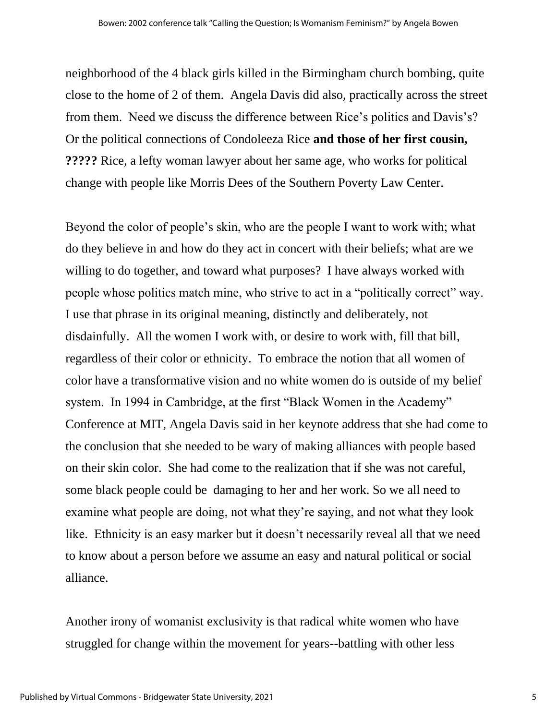neighborhood of the 4 black girls killed in the Birmingham church bombing, quite close to the home of 2 of them. Angela Davis did also, practically across the street from them. Need we discuss the difference between Rice's politics and Davis's? Or the political connections of Condoleeza Rice **and those of her first cousin, ?????** Rice, a lefty woman lawyer about her same age, who works for political change with people like Morris Dees of the Southern Poverty Law Center.

Beyond the color of people's skin, who are the people I want to work with; what do they believe in and how do they act in concert with their beliefs; what are we willing to do together, and toward what purposes? I have always worked with people whose politics match mine, who strive to act in a "politically correct" way. I use that phrase in its original meaning, distinctly and deliberately, not disdainfully. All the women I work with, or desire to work with, fill that bill, regardless of their color or ethnicity. To embrace the notion that all women of color have a transformative vision and no white women do is outside of my belief system. In 1994 in Cambridge, at the first "Black Women in the Academy" Conference at MIT, Angela Davis said in her keynote address that she had come to the conclusion that she needed to be wary of making alliances with people based on their skin color. She had come to the realization that if she was not careful, some black people could be damaging to her and her work. So we all need to examine what people are doing, not what they're saying, and not what they look like. Ethnicity is an easy marker but it doesn't necessarily reveal all that we need to know about a person before we assume an easy and natural political or social alliance.

Another irony of womanist exclusivity is that radical white women who have struggled for change within the movement for years--battling with other less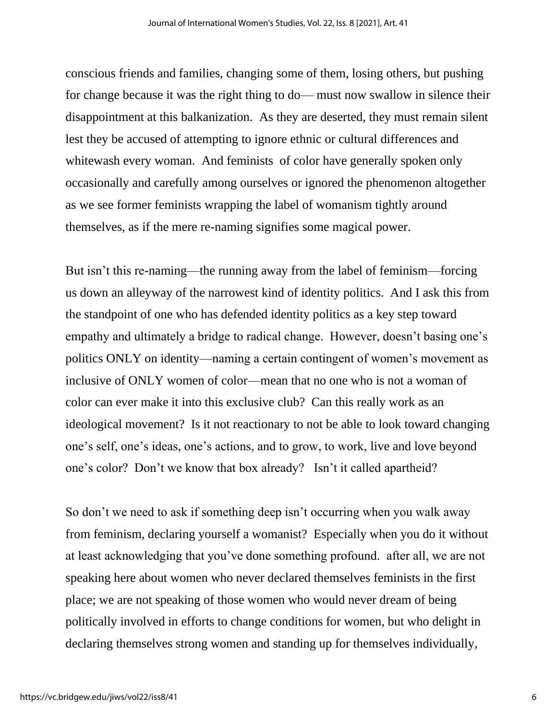conscious friends and families, changing some of them, losing others, but pushing for change because it was the right thing to do— must now swallow in silence their disappointment at this balkanization. As they are deserted, they must remain silent lest they be accused of attempting to ignore ethnic or cultural differences and whitewash every woman. And feminists of color have generally spoken only occasionally and carefully among ourselves or ignored the phenomenon altogether as we see former feminists wrapping the label of womanism tightly around themselves, as if the mere re-naming signifies some magical power.

But isn't this re-naming—the running away from the label of feminism—forcing us down an alleyway of the narrowest kind of identity politics. And I ask this from the standpoint of one who has defended identity politics as a key step toward empathy and ultimately a bridge to radical change. However, doesn't basing one's politics ONLY on identity—naming a certain contingent of women's movement as inclusive of ONLY women of color—mean that no one who is not a woman of color can ever make it into this exclusive club? Can this really work as an ideological movement? Is it not reactionary to not be able to look toward changing one's self, one's ideas, one's actions, and to grow, to work, live and love beyond one's color? Don't we know that box already? Isn't it called apartheid?

So don't we need to ask if something deep isn't occurring when you walk away from feminism, declaring yourself a womanist? Especially when you do it without at least acknowledging that you've done something profound. after all, we are not speaking here about women who never declared themselves feminists in the first place; we are not speaking of those women who would never dream of being politically involved in efforts to change conditions for women, but who delight in declaring themselves strong women and standing up for themselves individually,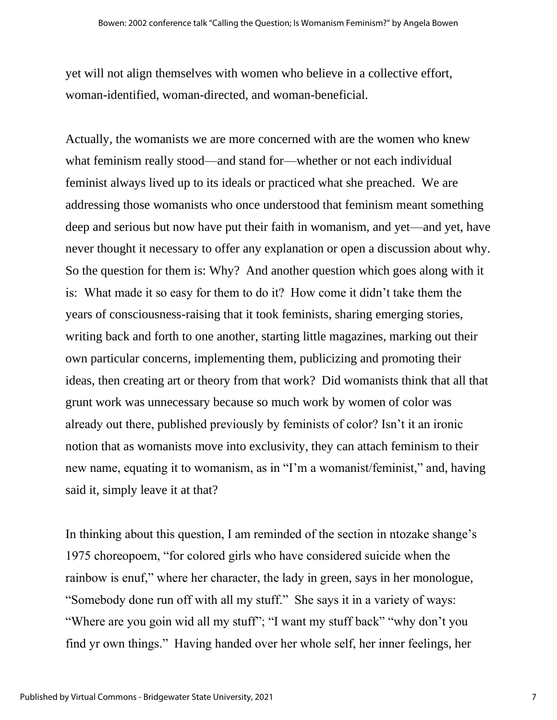yet will not align themselves with women who believe in a collective effort, woman-identified, woman-directed, and woman-beneficial.

Actually, the womanists we are more concerned with are the women who knew what feminism really stood—and stand for—whether or not each individual feminist always lived up to its ideals or practiced what she preached. We are addressing those womanists who once understood that feminism meant something deep and serious but now have put their faith in womanism, and yet—and yet, have never thought it necessary to offer any explanation or open a discussion about why. So the question for them is: Why? And another question which goes along with it is: What made it so easy for them to do it? How come it didn't take them the years of consciousness-raising that it took feminists, sharing emerging stories, writing back and forth to one another, starting little magazines, marking out their own particular concerns, implementing them, publicizing and promoting their ideas, then creating art or theory from that work? Did womanists think that all that grunt work was unnecessary because so much work by women of color was already out there, published previously by feminists of color? Isn't it an ironic notion that as womanists move into exclusivity, they can attach feminism to their new name, equating it to womanism, as in "I'm a womanist/feminist," and, having said it, simply leave it at that?

In thinking about this question, I am reminded of the section in ntozake shange's 1975 choreopoem, "for colored girls who have considered suicide when the rainbow is enuf," where her character, the lady in green, says in her monologue, "Somebody done run off with all my stuff." She says it in a variety of ways: "Where are you goin wid all my stuff"; "I want my stuff back" "why don't you find yr own things." Having handed over her whole self, her inner feelings, her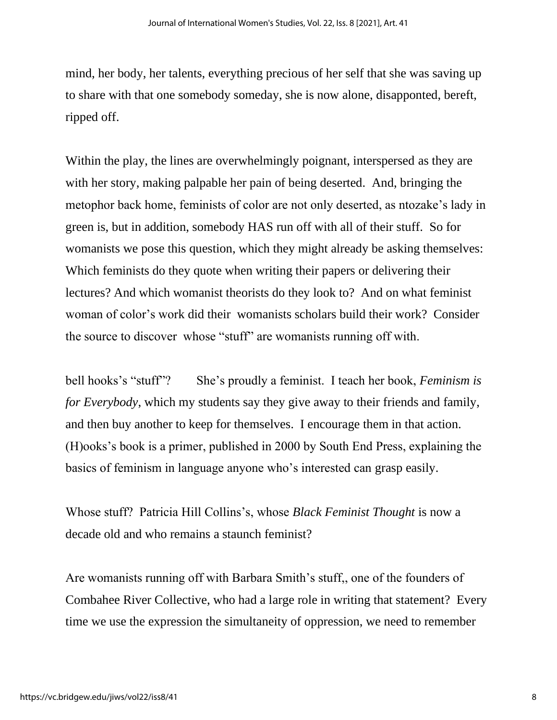mind, her body, her talents, everything precious of her self that she was saving up to share with that one somebody someday, she is now alone, disapponted, bereft, ripped off.

Within the play, the lines are overwhelmingly poignant, interspersed as they are with her story, making palpable her pain of being deserted. And, bringing the metophor back home, feminists of color are not only deserted, as ntozake's lady in green is, but in addition, somebody HAS run off with all of their stuff. So for womanists we pose this question, which they might already be asking themselves: Which feminists do they quote when writing their papers or delivering their lectures? And which womanist theorists do they look to? And on what feminist woman of color's work did their womanists scholars build their work? Consider the source to discover whose "stuff" are womanists running off with.

bell hooks's "stuff"? She's proudly a feminist. I teach her book, *Feminism is for Everybody*, which my students say they give away to their friends and family, and then buy another to keep for themselves. I encourage them in that action. (H)ooks's book is a primer, published in 2000 by South End Press, explaining the basics of feminism in language anyone who's interested can grasp easily.

Whose stuff? Patricia Hill Collins's, whose *Black Feminist Thought* is now a decade old and who remains a staunch feminist?

Are womanists running off with Barbara Smith's stuff,, one of the founders of Combahee River Collective, who had a large role in writing that statement? Every time we use the expression the simultaneity of oppression, we need to remember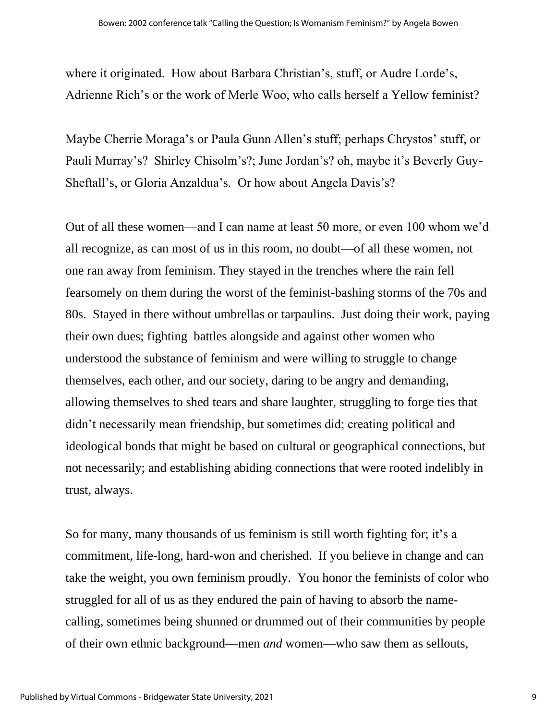where it originated. How about Barbara Christian's, stuff, or Audre Lorde's, Adrienne Rich's or the work of Merle Woo, who calls herself a Yellow feminist?

Maybe Cherrie Moraga's or Paula Gunn Allen's stuff; perhaps Chrystos' stuff, or Pauli Murray's? Shirley Chisolm's?; June Jordan's? oh, maybe it's Beverly Guy-Sheftall's, or Gloria Anzaldua's. Or how about Angela Davis's?

Out of all these women—and I can name at least 50 more, or even 100 whom we'd all recognize, as can most of us in this room, no doubt—of all these women, not one ran away from feminism. They stayed in the trenches where the rain fell fearsomely on them during the worst of the feminist-bashing storms of the 70s and 80s. Stayed in there without umbrellas or tarpaulins. Just doing their work, paying their own dues; fighting battles alongside and against other women who understood the substance of feminism and were willing to struggle to change themselves, each other, and our society, daring to be angry and demanding, allowing themselves to shed tears and share laughter, struggling to forge ties that didn't necessarily mean friendship, but sometimes did; creating political and ideological bonds that might be based on cultural or geographical connections, but not necessarily; and establishing abiding connections that were rooted indelibly in trust, always.

So for many, many thousands of us feminism is still worth fighting for; it's a commitment, life-long, hard-won and cherished. If you believe in change and can take the weight, you own feminism proudly. You honor the feminists of color who struggled for all of us as they endured the pain of having to absorb the namecalling, sometimes being shunned or drummed out of their communities by people of their own ethnic background—men *and* women—who saw them as sellouts,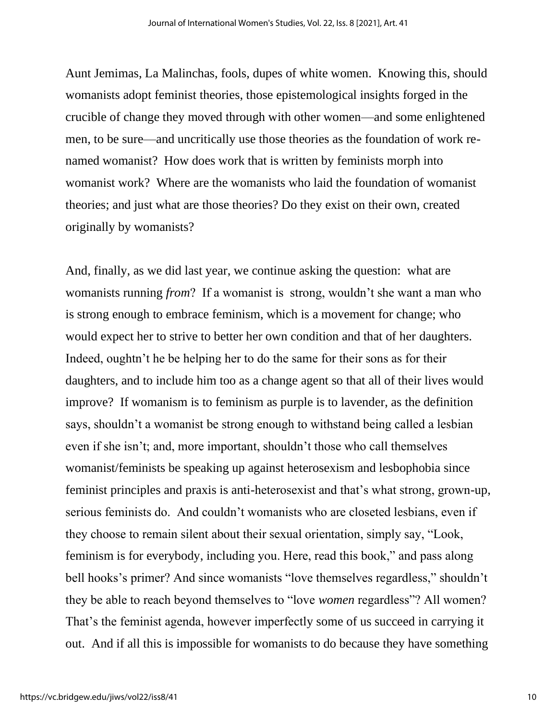Aunt Jemimas, La Malinchas, fools, dupes of white women. Knowing this, should womanists adopt feminist theories, those epistemological insights forged in the crucible of change they moved through with other women—and some enlightened men, to be sure—and uncritically use those theories as the foundation of work renamed womanist? How does work that is written by feminists morph into womanist work? Where are the womanists who laid the foundation of womanist theories; and just what are those theories? Do they exist on their own, created originally by womanists?

And, finally, as we did last year, we continue asking the question: what are womanists running *from*? If a womanist is strong, wouldn't she want a man who is strong enough to embrace feminism, which is a movement for change; who would expect her to strive to better her own condition and that of her daughters. Indeed, oughtn't he be helping her to do the same for their sons as for their daughters, and to include him too as a change agent so that all of their lives would improve? If womanism is to feminism as purple is to lavender, as the definition says, shouldn't a womanist be strong enough to withstand being called a lesbian even if she isn't; and, more important, shouldn't those who call themselves womanist/feminists be speaking up against heterosexism and lesbophobia since feminist principles and praxis is anti-heterosexist and that's what strong, grown-up, serious feminists do. And couldn't womanists who are closeted lesbians, even if they choose to remain silent about their sexual orientation, simply say, "Look, feminism is for everybody, including you. Here, read this book," and pass along bell hooks's primer? And since womanists "love themselves regardless," shouldn't they be able to reach beyond themselves to "love *women* regardless"? All women? That's the feminist agenda, however imperfectly some of us succeed in carrying it out. And if all this is impossible for womanists to do because they have something